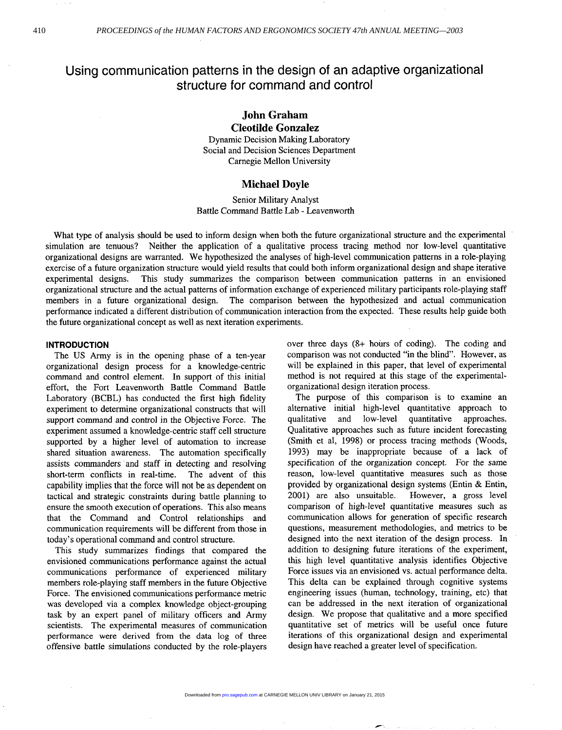# Using communication patterns in the design of an adaptive organizational structure for command and control

**John Graham Cleotilde Gonzalez**  Dynamic Decision Making Laboratory

Social and Decision Sciences Department Carnegie Mellon University

# **Michael Doyle**

Senior Military Analyst Battle Command Battle Lab - Leavenworth

What type of analysis should be used to inform design when both the future organizational structure and the experimental simulation are tenuous? Neither the application of a qualitative process tracing method nor low-level quantitative organizational designs are warranted. We hypothesized the analyses of high-level communication patterns in a role-playing exercise of a future organization structure would yield results that could both inform organizational design and shape iterative experimental designs. This study summarizes the comparison between communication patterns in an envisioned organizational structure and the actual patterns of information exchange of experienced military participants role-playing staff members in a future organizational design. The comparison between the hypothesized and actual communication performance indicated a different distribution of communication interaction from the expected. These results help guide both the future organizational concept as well as next iteration experiments.

# **INTRODUCTION**

The US Army is in the opening phase of a ten-year organizational design process for a knowledge-centric command and control element. In support of this initial effort, the Fort Leavenworth Battle Command Battle Laboratory (BCBL) has conducted the first high fidelity experiment to determine organizational constructs that will support command and control in the Objective Force. The experiment assumed a knowledge-centric staff cell structure supported by a higher level of automation to increase shared situation awareness. The automation specifically assists commanders and staff in detecting and resolving short-term conflicts in real-time. The advent of this capability implies that the force will not be as dependent on tactical and strategic constraints during battle planning to ensure the smooth execution of operations. This also means that the Command and Control relationships and communication requirements will be different from those in today's operational command and control structure.

This study summarizes findings that compared the envisioned communications performance against the actual communications performance of experienced military members role-playing staff members in the future Objective Force. The envisioned communications performance metric was developed via a complex knowledge object-grouping task by an expert panel of military officers and Army scientists. The experimental measures of communication performance were derived from the data log of three offensive battle simulations conducted by the role-players over three days (8+ hours of coding). The coding and comparison was not conducted "in the blind". However, as will be explained in this paper, that level of experimental method is not required at this stage of the experimentalorganizational design iteration process.

The purpose of this comparison is to examine an alternative initial high-level quantitative approach to qualitative and low-level quantitative approaches. Qualitative approaches such as future incident forecasting (Smith et al, 1998) or process tracing methods (Woods, 1993) may be inappropriate because of a lack of specification of the organization concept. For the same reason, low-level quantitative measures such as those provided by organizational design systems (Entin & Entin, 2001) are also unsuitable. However, a gross level  $2001$ ) are also unsuitable. comparison of high-level quantitative measures such as communication allows for generation of specific research questions, measurement methodologies, and metrics to be designed into the next iteration of the design process. In addition to designing future iterations of the experiment, this high level quantitative analysis identifies Objective Force issues via an envisioned vs. actual performance delta. This delta can be explained through cognitive systems engineering issues (human, technology, training, etc) that can be addressed in the next iteration of organizational design. We propose that qualitative and a more specified quantitative set of metrics will be useful once future iterations of this organizational design and experimental design have reached a greater level of specification.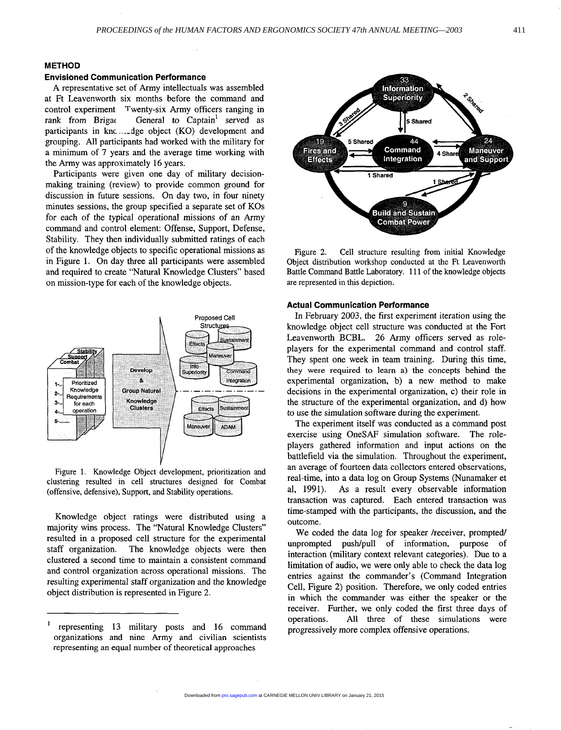### **METHOD**

# **Envisioned Communication Performance**

A representative set of Army intellectuals was assembled at Ft Leavenworth six months before the command and control experiment. Twenty-six Army officers ranging in rank from Brigac General to Captain<sup>1</sup> served as participants in knc $\ldots$  development and grouping. All participants had worked with the military for a minimum of 7 years and the average time working with the Army was approximately **16** years.

Participants were given one day of military decisionmaking training (review) to provide common ground for discussion in future sessions. On day two, in four ninety minutes sessions, the group specified a separate set of KOs for each of the typical operational missions of an Army command and control element: Offense, Support, Defense, Stability. They then individually submitted ratings of each of the knowledge objects to specific operational missions as in Figure **1.** On day three all participants were assembled and required to create "Natural Knowledge Clusters" based on mission-type for each of the knowledge objects.



Figure 1. Knowledge Object development, prioritization and clustering resulted in cell structures designed for Combat (offensive, defensive), Support, and Stability operations.

Knowledge object ratings were distributed using a majority wins process. The "Natural Knowledge Clusters" resulted in a proposed cell structure for the experimental staff organization. The knowledge objects were then clustered a second time to maintain a consistent command and control organization across operational missions. The resulting experimental staff organization and the knowledge object distribution is represented in Figure *2.* 



Figure **2.** Cell structure resulting from initial Knowledge Object distribution workshop conducted at the Ft Leavenworth Battle Command Battle Laboratory. 11 **1** of the knowledge objects are represented in this depiction.

#### **Actual Communication Performance**

In February 2003, the first experiment iteration using the knowledge object cell structure was conducted at the Fort Leavenworth BCBL. 26 Army officers served as roleplayers for the experimental command and control staff. They spent one week in team training. During this time, they were required to learn **a)** the concepts behind the experimental organization, b) a new method to make decisions in the experimental organization, c) their role in the structure of the experimental organization, and d) how to use the simulation software during the experiment.

The experiment itself was conducted as a command post exercise using OneSAF simulation software. The roleplayers gathered information and input actions on the battlefield via the simulation. Throughout the experiment, an average of fourteen data collectors entered observations, real-time, into a data log on Group Systems (Nunamaker et al, 1991). **As** a result every observable information transaction was captured. Each entered transaction was time-stamped with the participants, the discussion, and the outcome.

We coded the data log for speaker /receiver, prompted/ unprompted push/pull of information, purpose of interaction (military context relevant categories). Due to a limitation of audio, we were only able to check the data log entries against the commander's (Command Integration Cell, Figure *2)* position. Therefore, we only coded entries in which the commander was either the speaker or the receiver. Further, we only coded the first three days of operations. All three of these simulations were progressively more complex offensive operations.

<sup>&#</sup>x27; representing 13 military posts and **16** command organizations and nine Army and civilian scientists representing an equal number of theoretical approaches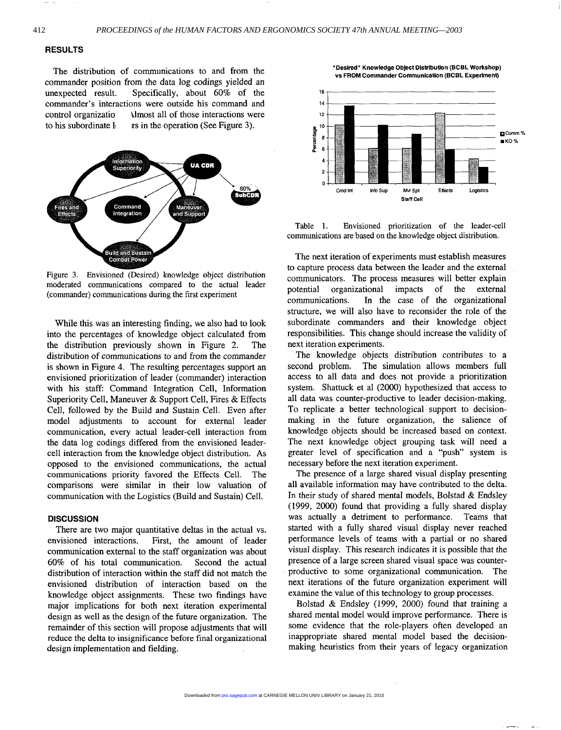#### **RESULTS**

The distribution of communications to and from the commander position from the data log codings yielded an unexpected result. Specifically, about 60% of the commander's interactions were outside his command and control organizatio lmost all of those interactions were to his subordinate leaders in the operation (See Figure 3).



Figure 3. Envisioned (Desired) knowledge object distribution moderated communications compared to the actual leader (commander) communications during the first experiment

While this was an interesting finding, we also had to look into the percentages of knowledge object calculated from the distribution previously shown in Figure 2. The distribution of communications to and from the commander is shown in Figure 4. The resulting percentages support an envisioned prioritization of leader (commander) interaction with his staff: Command Integration Cell, Information Superiority Cell, Maneuver & Support Cell, Fires & Effects Cell, followed by the Build and Sustain Cell. Even after model adjustments to account for external leader communication, every actual leader-cell interaction from the data log codings differed from the envisioned leadercell interaction from the knowledge object distribution. **As**  opposed to the envisioned communications, the actual communications priority favored the Effects Cell. The comparisons were similar in their low valuation of communication with the Logistics (Build and Sustain) Cell.

# **DISCUSSION**

There are two major quantitative deltas in the actual vs. envisioned interactions. First, the amount of leader communication external to the staff organization was about 60% of his total communication. Second the actual distribution of interaction within the staff did not match the envisioned distribution of interaction based on the knowledge object assignments. These two findings have major implications for both next iteration experimental design as well as the design of the future organization. The remainder of this section will propose adjustments that will reduce the delta to insignificance before final organizational design implementation and fielding.

**"Desired" Knowledge Object Disbibution (BCBL Workshop) vs FROM Commander Communication (BCBL Experiment)** 



Table 1. Envisioned prioritization of the leader-cell communications are based on the knowledge object distribution.

The next iteration of experiments must establish measures to capture process data between the leader and the external communicators. The process measures will better explain potential organizational impacts of the external communications. In the case of the organizational structure, we will also have to reconsider the role of the subordinate commanders and their knowledge object responsibilities. This change should increase the validity of next iteration experiments.

The knowledge objects distribution contributes to a second problem. The simulation allows members full access to all data and does not provide a prioritization system. Shattuck et a1 (2000) hypothesized that access to all data was counter-productive to leader decision-making. To replicate a better technological support to decisionmaking in the future organization, the salience of knowledge objects should be increased based on context. The next knowledge object grouping task will need a greater level of specification and a "push" system is necessary before the next iteration experiment.

The presence of a large shared visual display presenting all available information may have contributed to the delta. In their study of shared mental models, Bolstad & Endsley (1999, 2000) found that providing a fully shared display was actually a detriment to performance. Teams that started with a fully shared visual display never reached performance levels of teams with a partial or no shared visual display. This research indicates it is possible that the presence of a large screen shared visual space was counterproductive to some organizational communication. The next iterations of the future organization experiment will examine the value of this technology to group processes.

Bolstad & Endsley (1999, 2000) found that training a shared mental model would improve performance. There is some evidence that the role-players often developed an inappropriate shared mental model based the decisionmaking heuristics from their years of legacy organization